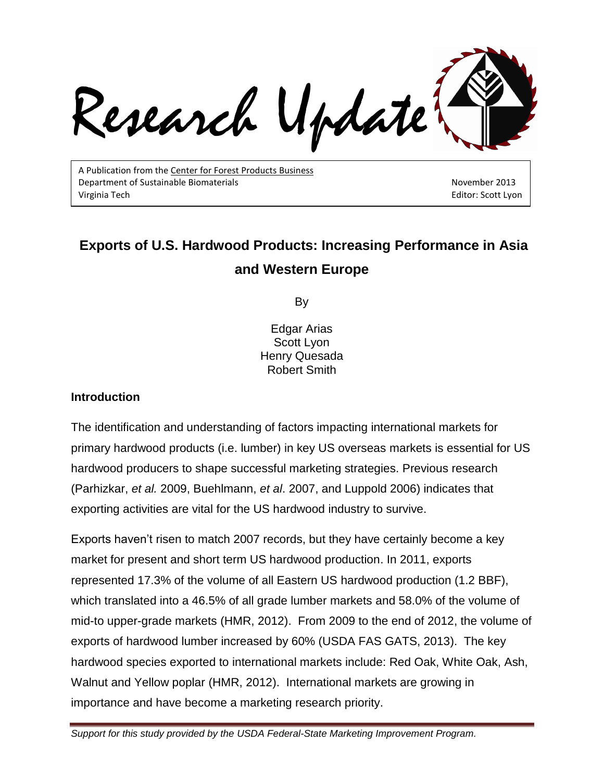Research Update

A Publication from the Center for Forest Products Business Department of Sustainable Biomaterials November 2013 virginia Tech Editor: Scott Lyon

# **Exports of U.S. Hardwood Products: Increasing Performance in Asia and Western Europe**

By

Edgar Arias Scott Lyon Henry Quesada Robert Smith

#### **Introduction**

The identification and understanding of factors impacting international markets for primary hardwood products (i.e. lumber) in key US overseas markets is essential for US hardwood producers to shape successful marketing strategies. Previous research (Parhizkar, *et al.* 2009, Buehlmann, *et al*. 2007, and Luppold 2006) indicates that exporting activities are vital for the US hardwood industry to survive.

Exports haven't risen to match 2007 records, but they have certainly become a key market for present and short term US hardwood production. In 2011, exports represented 17.3% of the volume of all Eastern US hardwood production (1.2 BBF), which translated into a 46.5% of all grade lumber markets and 58.0% of the volume of mid-to upper-grade markets (HMR, 2012). From 2009 to the end of 2012, the volume of exports of hardwood lumber increased by 60% (USDA FAS GATS, 2013). The key hardwood species exported to international markets include: Red Oak, White Oak, Ash, Walnut and Yellow poplar [\(HMR, 2012\)](#page-8-0). International markets are growing in importance and have become a marketing research priority.

*Support for this study provided by the USDA Federal-State Marketing Improvement Program.*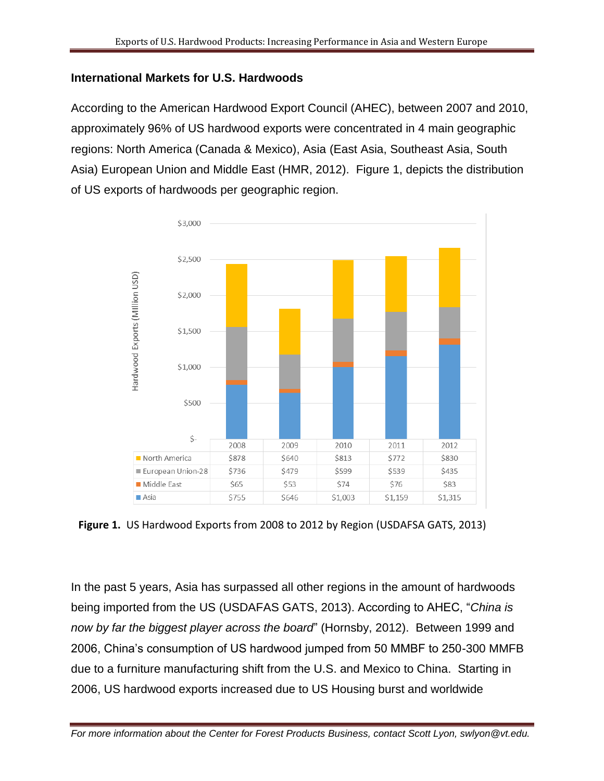# **International Markets for U.S. Hardwoods**

According to the American Hardwood Export Council (AHEC), between 2007 and 2010, approximately 96% of US hardwood exports were concentrated in 4 main geographic regions: North America (Canada & Mexico), Asia (East Asia, Southeast Asia, South Asia) European Union and Middle East [\(HMR, 2012\)](#page-8-0). Figure 1, depicts the distribution of US exports of hardwoods per geographic region.



**Figure 1.** US Hardwood Exports from 2008 to 2012 by Region (USDAFSA GATS, 2013)

In the past 5 years, Asia has surpassed all other regions in the amount of hardwoods being imported from the US [\(USDAFAS GATS,](#page-8-1) 2013). According to AHEC, "*China is now by far the biggest player across the board*" [\(Hornsby, 2012\)](#page-8-1). Between 1999 and 2006, China's consumption of US hardwood jumped from 50 MMBF to 250-300 MMFB due to a furniture manufacturing shift from the U.S. and Mexico to China. Starting in 2006, US hardwood exports increased due to US Housing burst and worldwide

*For more information about the Center for Forest Products Business, contact Scott Lyon, swlyon@vt.edu.*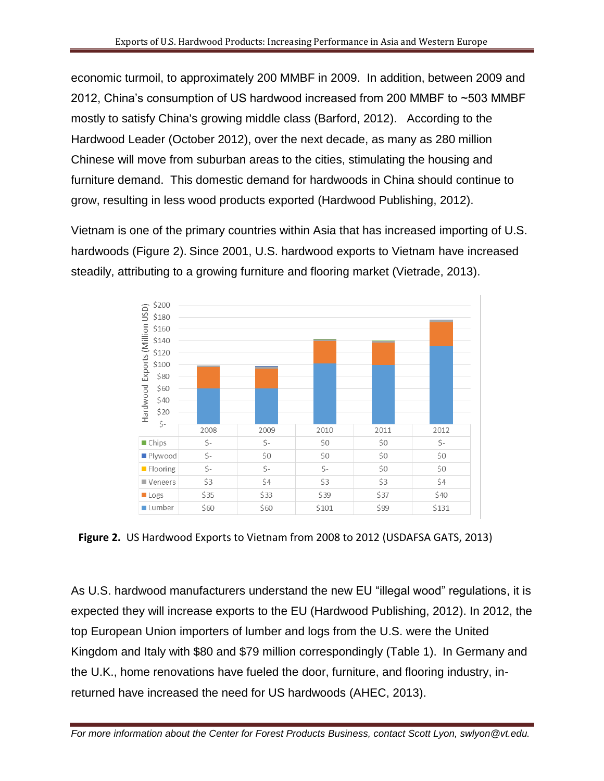economic turmoil, to approximately 200 MMBF in 2009. In addition, between 2009 and 2012, China's consumption of US hardwood increased from 200 MMBF to ~503 MMBF mostly to satisfy China's growing middle class [\(Barford, 2012\)](#page-8-2). According to the Hardwood Leader (October 2012), over the next decade, as many as 280 million Chinese will move from suburban areas to the cities, stimulating the housing and furniture demand. This domestic demand for hardwoods in China should continue to grow, resulting in less wood products exported (Hardwood Publishing, 2012).

Vietnam is one of the primary countries within Asia that has increased importing of U.S. hardwoods (Figure 2). Since 2001, U.S. hardwood exports to Vietnam have increased steadily, attributing to a growing furniture and flooring market (Vietrade, 2013).



**Figure 2.** US Hardwood Exports to Vietnam from 2008 to 2012 (USDAFSA GATS, 2013)

As U.S. hardwood manufacturers understand the new EU "illegal wood" regulations, it is expected they will increase exports to the EU (Hardwood Publishing, 2012). In 2012, the top European Union importers of lumber and logs from the U.S. were the United Kingdom and Italy with \$80 and \$79 million correspondingly (Table 1). In Germany and the U.K., home renovations have fueled the door, furniture, and flooring industry, inreturned have increased the need for US hardwoods (AHEC, 2013).

*For more information about the Center for Forest Products Business, contact Scott Lyon, swlyon@vt.edu.*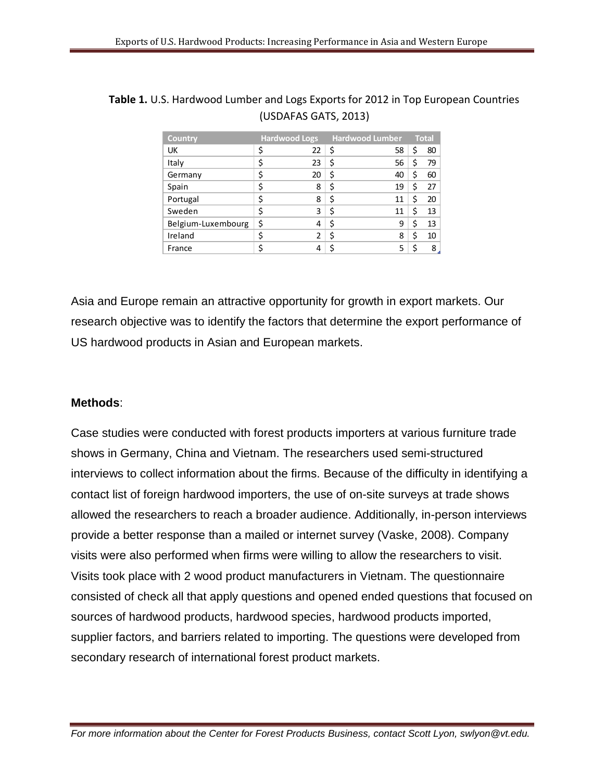| <b>Country</b>     | <b>Hardwood Logs</b> | <b>Hardwood Lumber</b> | <b>Total</b> |    |
|--------------------|----------------------|------------------------|--------------|----|
| UK                 | \$<br>22             | \$<br>58               | \$           | 80 |
| Italy              | \$<br>23             | \$<br>56               | S            | 79 |
| Germany            | \$<br>20             | \$<br>40               | \$           | 60 |
| Spain              | \$<br>8              | \$<br>19               | \$           | 27 |
| Portugal           | \$<br>8              | \$<br>11               | Ś            | 20 |
| Sweden             | \$<br>3              | \$<br>11               | Ś            | 13 |
| Belgium-Luxembourg | \$<br>4              | \$<br>9                | \$           | 13 |
| Ireland            | \$<br>2              | \$<br>8                | \$           | 10 |
| France             |                      | \$<br>5                | ς            | 8  |

| <b>Table 1.</b> U.S. Hardwood Lumber and Logs Exports for 2012 in Top European Countries |
|------------------------------------------------------------------------------------------|
| (USDAFAS GATS, 2013)                                                                     |

Asia and Europe remain an attractive opportunity for growth in export markets. Our research objective was to identify the factors that determine the export performance of US hardwood products in Asian and European markets.

## **Methods**:

Case studies were conducted with forest products importers at various furniture trade shows in Germany, China and Vietnam. The researchers used semi-structured interviews to collect information about the firms. Because of the difficulty in identifying a contact list of foreign hardwood importers, the use of on-site surveys at trade shows allowed the researchers to reach a broader audience. Additionally, in-person interviews provide a better response than a mailed or internet survey (Vaske, 2008). Company visits were also performed when firms were willing to allow the researchers to visit. Visits took place with 2 wood product manufacturers in Vietnam. The questionnaire consisted of check all that apply questions and opened ended questions that focused on sources of hardwood products, hardwood species, hardwood products imported, supplier factors, and barriers related to importing. The questions were developed from secondary research of international forest product markets.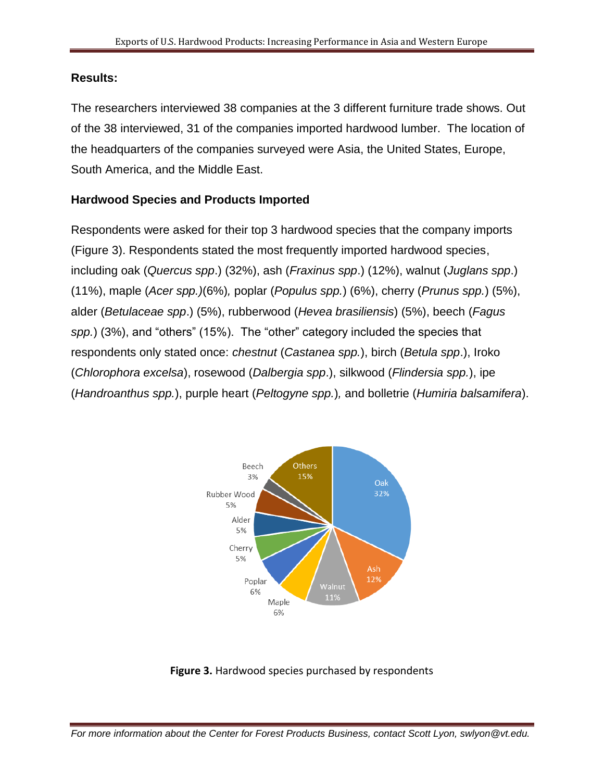### **Results:**

The researchers interviewed 38 companies at the 3 different furniture trade shows. Out of the 38 interviewed, 31 of the companies imported hardwood lumber. The location of the headquarters of the companies surveyed were Asia, the United States, Europe, South America, and the Middle East.

## **Hardwood Species and Products Imported**

Respondents were asked for their top 3 hardwood species that the company imports (Figure 3). Respondents stated the most frequently imported hardwood species, including oak (*Quercus spp*.) (32%), ash (*Fraxinus spp*.) (12%), walnut (*Juglans spp*.) (11%), maple (*Acer spp.)*(6%)*,* poplar (*Populus spp.*) (6%), cherry (*Prunus spp.*) (5%), alder (*Betulaceae spp*.) (5%), rubberwood (*Hevea brasiliensis*) (5%), beech (*Fagus spp.*) (3%), and "others" (15%). The "other" category included the species that respondents only stated once: *chestnut* (*Castanea spp.*), birch (*Betula spp*.), Iroko (*Chlorophora excelsa*), rosewood (*Dalbergia spp*.), silkwood (*Flindersia spp.*), ipe (*Handroanthus spp.*), purple heart (*Peltogyne spp.*)*,* and bolletrie (*Humiria balsamifera*).



**Figure 3.** Hardwood species purchased by respondents

*For more information about the Center for Forest Products Business, contact Scott Lyon, swlyon@vt.edu.*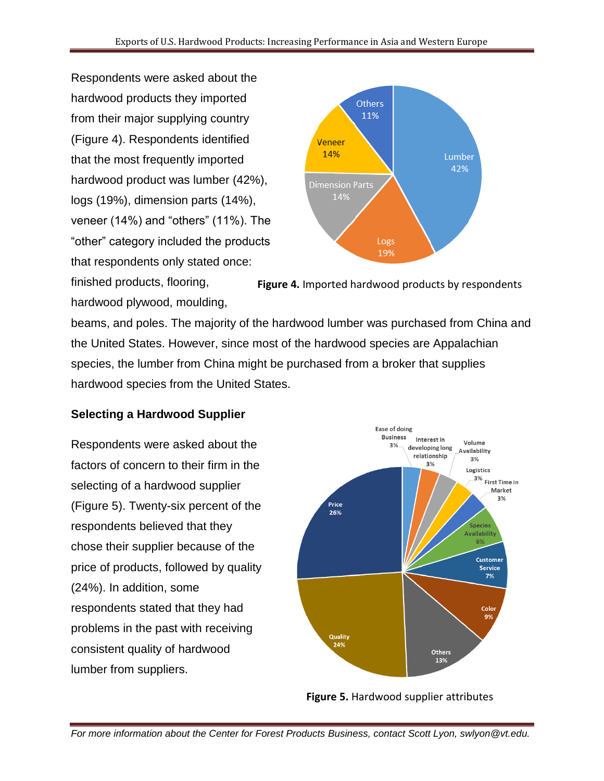Respondents were asked about the hardwood products they imported from their major supplying country (Figure 4). Respondents identified that the most frequently imported hardwood product was lumber (42%), logs (19%), dimension parts (14%), veneer (14%) and "others" (11%). The "other" category included the products that respondents only stated once:



finished products, flooring, hardwood plywood, moulding, **Figure 4.** Imported hardwood products by respondents

beams, and poles. The majority of the hardwood lumber was purchased from China and the United States. However, since most of the hardwood species are Appalachian species, the lumber from China might be purchased from a broker that supplies hardwood species from the United States.

# **Selecting a Hardwood Supplier**

Respondents were asked about the factors of concern to their firm in the selecting of a hardwood supplier (Figure 5). Twenty-six percent of the respondents believed that they chose their supplier because of the price of products, followed by quality (24%). In addition, some respondents stated that they had problems in the past with receiving consistent quality of hardwood lumber from suppliers.



**Figure 5.** Hardwood supplier attributes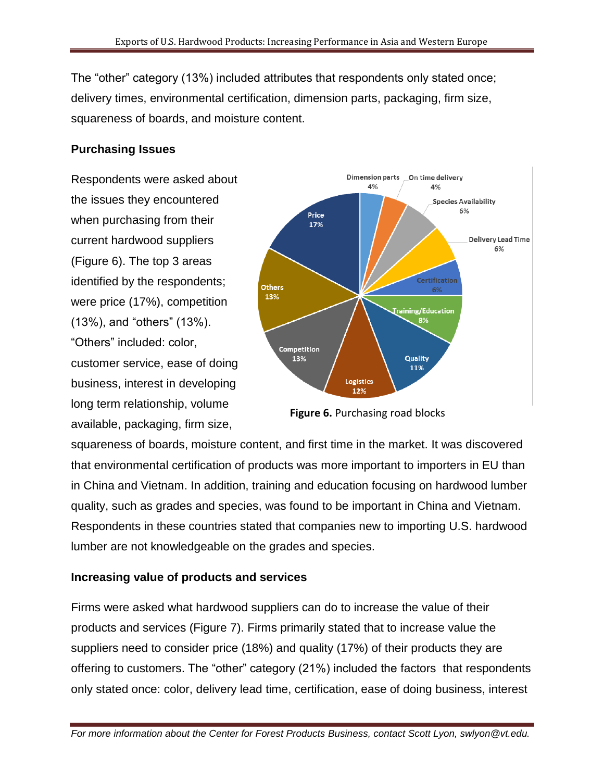The "other" category (13%) included attributes that respondents only stated once; delivery times, environmental certification, dimension parts, packaging, firm size, squareness of boards, and moisture content.

### **Purchasing Issues**

Respondents were asked about the issues they encountered when purchasing from their current hardwood suppliers (Figure 6). The top 3 areas identified by the respondents; were price (17%), competition (13%), and "others" (13%). "Others" included: color, customer service, ease of doing business, interest in developing long term relationship, volume available, packaging, firm size,



**Figure 6.** Purchasing road blocks

squareness of boards, moisture content, and first time in the market. It was discovered that environmental certification of products was more important to importers in EU than in China and Vietnam. In addition, training and education focusing on hardwood lumber quality, such as grades and species, was found to be important in China and Vietnam. Respondents in these countries stated that companies new to importing U.S. hardwood lumber are not knowledgeable on the grades and species.

## **Increasing value of products and services**

Firms were asked what hardwood suppliers can do to increase the value of their products and services (Figure 7). Firms primarily stated that to increase value the suppliers need to consider price (18%) and quality (17%) of their products they are offering to customers. The "other" category (21%) included the factors that respondents only stated once: color, delivery lead time, certification, ease of doing business, interest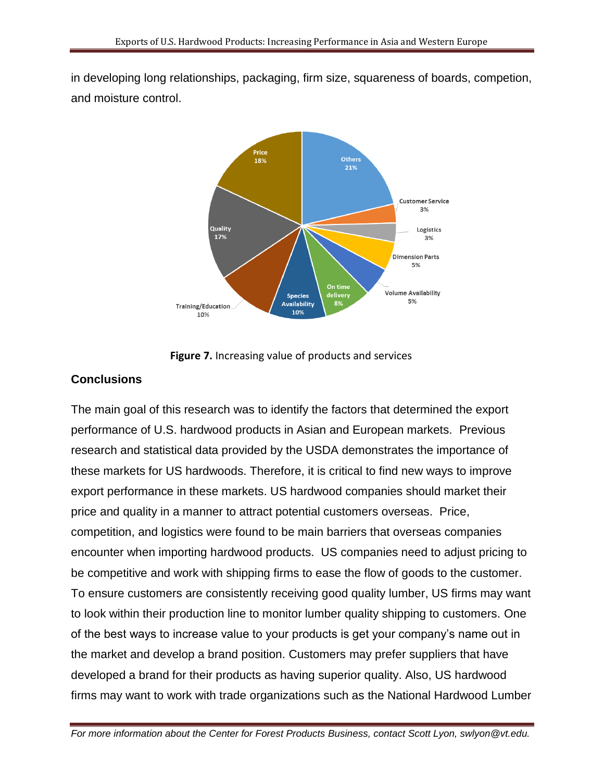in developing long relationships, packaging, firm size, squareness of boards, competion, and moisture control.



**Figure 7.** Increasing value of products and services

## **Conclusions**

The main goal of this research was to identify the factors that determined the export performance of U.S. hardwood products in Asian and European markets. Previous research and statistical data provided by the USDA demonstrates the importance of these markets for US hardwoods. Therefore, it is critical to find new ways to improve export performance in these markets. US hardwood companies should market their price and quality in a manner to attract potential customers overseas. Price, competition, and logistics were found to be main barriers that overseas companies encounter when importing hardwood products. US companies need to adjust pricing to be competitive and work with shipping firms to ease the flow of goods to the customer. To ensure customers are consistently receiving good quality lumber, US firms may want to look within their production line to monitor lumber quality shipping to customers. One of the best ways to increase value to your products is get your company's name out in the market and develop a brand position. Customers may prefer suppliers that have developed a brand for their products as having superior quality. Also, US hardwood firms may want to work with trade organizations such as the National Hardwood Lumber